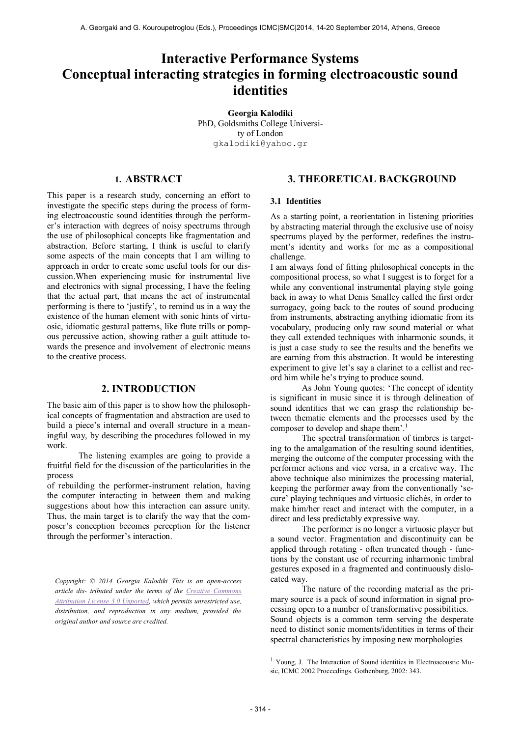# **Interactive Performance Systems Conceptual interacting strategies in forming electroacoustic sound identities**

**Georgia Kalodiki** PhD, Goldsmiths College University of London [gkalodiki@yahoo.gr](mailto:gkalodiki@yahoo.gr)

# **1. ABSTRACT**

This paper is a research study, concerning an effort to investigate the specific steps during the process of forming electroacoustic sound identities through the performer's interaction with degrees of noisy spectrums through the use of philosophical concepts like fragmentation and abstraction. Before starting, I think is useful to clarify some aspects of the main concepts that I am willing to approach in order to create some useful tools for our discussion.When experiencing music for instrumental live and electronics with signal processing, I have the feeling that the actual part, that means the act of instrumental performing is there to 'justify', to remind us in a way the existence of the human element with sonic hints of virtuosic, idiomatic gestural patterns, like flute trills or pompous percussive action, showing rather a guilt attitude towards the presence and involvement of electronic means to the creative process.

## **2. INTRODUCTION**

The basic aim of this paper is to show how the philosophical concepts of fragmentation and abstraction are used to build a piece's internal and overall structure in a meaningful way, by describing the procedures followed in my work.

The listening examples are going to provide a fruitful field for the discussion of the particularities in the process

of rebuilding the performer-instrument relation, having the computer interacting in between them and making suggestions about how this interaction can assure unity. Thus, the main target is to clarify the way that the composer's conception becomes perception for the listener through the performer's interaction.

*Copyright: © 2014 Georgia Kalodiki This is an open-access article dis- tributed under the terms of the [Creative Commons](http://creativecommons.org/licenses/by/3.0/)  [Attribution License 3.0 Unported,](http://creativecommons.org/licenses/by/3.0/) which permits unrestricted use, distribution, and reproduction in any medium, provided the original author and source are credited.*

# **3. THEORETICAL BACKGROUND**

#### **3.1 Identities**

As a starting point, a reorientation in listening priorities by abstracting material through the exclusive use of noisy spectrums played by the performer, redefines the instrument's identity and works for me as a compositional challenge.

I am always fond of fitting philosophical concepts in the compositional process, so what I suggest is to forget for a while any conventional instrumental playing style going back in away to what Denis Smalley called the first order surrogacy, going back to the routes of sound producing from instruments, abstracting anything idiomatic from its vocabulary, producing only raw sound material or what they call extended techniques with inharmonic sounds, it is just a case study to see the results and the benefits we are earning from this abstraction. It would be interesting experiment to give let's say a clarinet to a cellist and record him while he's trying to produce sound.

As John Young quotes: 'The concept of identity is significant in music since it is through delineation of sound identities that we can grasp the relationship between thematic elements and the processes used by the composer to develop and shape them'.<sup>1</sup>

The spectral transformation of timbres is targeting to the amalgamation of the resulting sound identities, merging the outcome of the computer processing with the performer actions and vice versa, in a creative way. The above technique also minimizes the processing material, keeping the performer away from the conventionally 'secure' playing techniques and virtuosic clichés, in order to make him/her react and interact with the computer, in a direct and less predictably expressive way.

The performer is no longer a virtuosic player but a sound vector. Fragmentation and discontinuity can be applied through rotating - often truncated though - functions by the constant use of recurring inharmonic timbral gestures exposed in a fragmented and continuously dislocated way.

The nature of the recording material as the primary source is a pack of sound information in signal processing open to a number of transformative possibilities. Sound objects is a common term serving the desperate need to distinct sonic moments/identities in terms of their spectral characteristics by imposing new morphologies

<sup>1</sup> Young, J. The Interaction of Sound identities in Electroacoustic Music, ICMC 2002 Proceedings. Gothenburg, 2002: 343.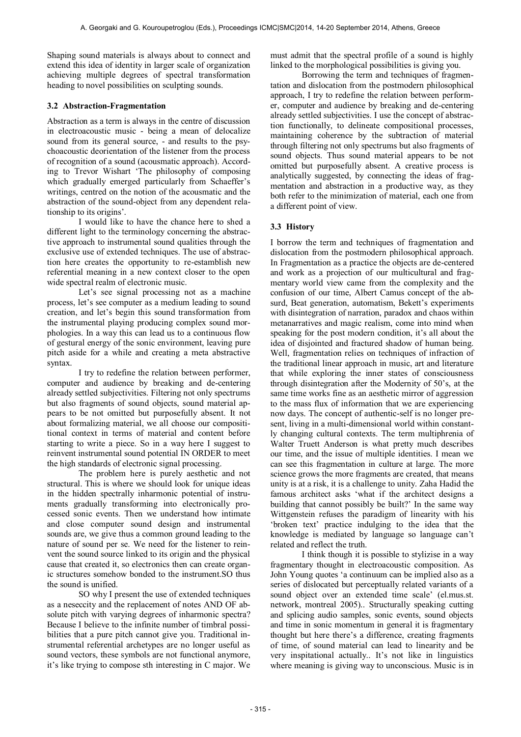Shaping sound materials is always about to connect and extend this idea of identity in larger scale of organization achieving multiple degrees of spectral transformation heading to novel possibilities on sculpting sounds.

## **3.2 Abstraction-Fragmentation**

Abstraction as a term is always in the centre of discussion in electroacoustic music - being a mean of delocalize sound from its general source, - and results to the psychoacoustic deorientation of the listener from the process of recognition of a sound (acousmatic approach). According to Trevor Wishart 'The philosophy of composing which gradually emerged particularly from Schaeffer's writings, centred on the notion of the acousmatic and the abstraction of the sound-object from any dependent relationship to its origins'.

I would like to have the chance here to shed a different light to the terminology concerning the abstractive approach to instrumental sound qualities through the exclusive use of extended techniques. The use of abstraction here creates the opportunity to re-estamblish new referential meaning in a new context closer to the open wide spectral realm of electronic music.

Let's see signal processing not as a machine process, let's see computer as a medium leading to sound creation, and let's begin this sound transformation from the instrumental playing producing complex sound morphologies. In a way this can lead us to a continuous flow of gestural energy of the sonic environment, leaving pure pitch aside for a while and creating a meta abstractive syntax.

I try to redefine the relation between performer, computer and audience by breaking and de-centering already settled subjectivities. Filtering not only spectrums but also fragments of sound objects, sound material appears to be not omitted but purposefully absent. It not about formalizing material, we all choose our composititional context in terms of material and content before starting to write a piece. So in a way here I suggest to reinvent instrumental sound potential IN ORDER to meet the high standards of electronic signal processing.

The problem here is purely aesthetic and not structural. This is where we should look for unique ideas in the hidden spectrally inharmonic potential of instruments gradually transforming into electronically processed sonic events. Then we understand how intimate and close computer sound design and instrumental sounds are, we give thus a common ground leading to the nature of sound per se. We need for the listener to reinvent the sound source linked to its origin and the physical cause that created it, so electronics then can create organic structures somehow bonded to the instrument.SO thus the sound is unified.

SO why I present the use of extended techniques as a neseccity and the replacement of notes AND OF absolute pitch with varying degrees of inharmonic spectra? Because I believe to the infinite number of timbral possibilities that a pure pitch cannot give you. Traditional instrumental referential archetypes are no longer useful as sound vectors, these symbols are not functional anymore, it's like trying to compose sth interesting in C major. We must admit that the spectral profile of a sound is highly linked to the morphological possibilities is giving you.

Borrowing the term and techniques of fragmentation and dislocation from the postmodern philosophical approach, I try to redefine the relation between performer, computer and audience by breaking and de-centering already settled subjectivities. I use the concept of abstraction functionally, to delineate compositional processes, maintaining coherence by the subtraction of material through filtering not only spectrums but also fragments of sound objects. Thus sound material appears to be not omitted but purposefully absent. A creative process is analytically suggested, by connecting the ideas of fragmentation and abstraction in a productive way, as they both refer to the minimization of material, each one from a different point of view.

## **3.3 History**

I borrow the term and techniques of fragmentation and dislocation from the postmodern philosophical approach. In Fragmentation as a practice the objects are de-centered and work as a projection of our multicultural and fragmentary world view came from the complexity and the confusion of our time, Albert Camus concept of the absurd, Beat generation, automatism, Bekett's experiments with disintegration of narration, paradox and chaos within metanarratives and magic realism, come into mind when speaking for the post modern condition, it's all about the idea of disjointed and fractured shadow of human being. Well, fragmentation relies on techniques of infraction of the traditional linear approach in music, art and literature that while exploring the inner states of consciousness through disintegration after the Modernity of 50's, at the same time works fine as an aesthetic mirror of aggression to the mass flux of information that we are experiencing now days. The concept of authentic-self is no longer present, living in a multi-dimensional world within constantly changing cultural contexts. The term multiphrenia of Walter Truett Anderson is what pretty much describes our time, and the issue of multiple identities. I mean we can see this fragmentation in culture at large. The more science grows the more fragments are created, that means unity is at a risk, it is a challenge to unity. Zaha Hadid the famous architect asks 'what if the architect designs a building that cannot possibly be built?' In the same way Wittgenstein refuses the paradigm of linearity with his 'broken text' practice indulging to the idea that the knowledge is mediated by language so language can't related and reflect the truth.

I think though it is possible to stylizise in a way fragmentary thought in electroacoustic composition. As John Young quotes 'a continuum can be implied also as a series of dislocated but perceptually related variants of a sound object over an extended time scale' (el.mus.st. network, montreal 2005).. Structurally speaking cutting and splicing audio samples, sonic events, sound objects and time in sonic momentum in general it is fragmentary thought but here there's a difference, creating fragments of time, of sound material can lead to linearity and be very inspitational actually.. It's not like in linguistics where meaning is giving way to unconscious. Music is in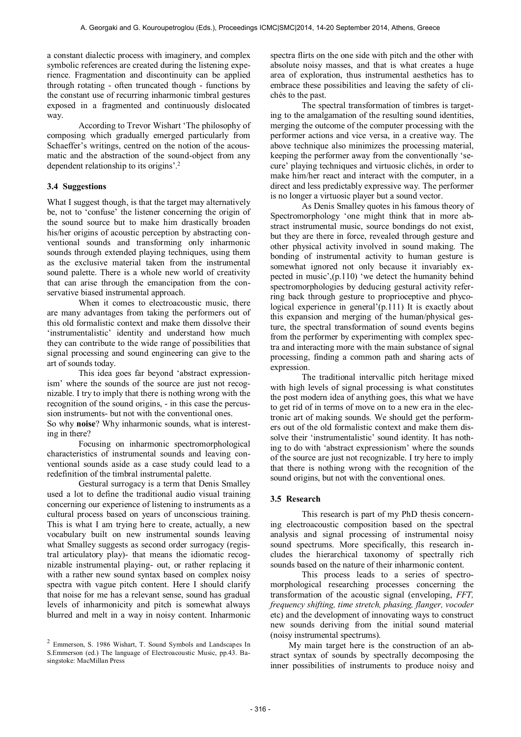a constant dialectic process with imaginery, and complex symbolic references are created during the listening experience. Fragmentation and discontinuity can be applied through rotating - often truncated though - functions by the constant use of recurring inharmonic timbral gestures exposed in a fragmented and continuously dislocated way.

According to Trevor Wishart 'The philosophy of composing which gradually emerged particularly from Schaeffer's writings, centred on the notion of the acousmatic and the abstraction of the sound-object from any dependent relationship to its origins'.<sup>2</sup>

#### **3.4 Suggestions**

What I suggest though, is that the target may alternatively be, not to 'confuse' the listener concerning the origin of the sound source but to make him drastically broaden his/her origins of acoustic perception by abstracting conventional sounds and transforming only inharmonic sounds through extended playing techniques, using them as the exclusive material taken from the instrumental sound palette. There is a whole new world of creativity that can arise through the emancipation from the conservative biased instrumental approach.

When it comes to electroacoustic music, there are many advantages from taking the performers out of this old formalistic context and make them dissolve their 'instrumentalistic' identity and understand how much they can contribute to the wide range of possibilities that signal processing and sound engineering can give to the art of sounds today.

This idea goes far beyond 'abstract expressionism' where the sounds of the source are just not recognizable. I try to imply that there is nothing wrong with the recognition of the sound origins, - in this case the percussion instruments- but not with the conventional ones.

So why **noise**? Why inharmonic sounds, what is interesting in there?

Focusing on inharmonic spectromorphological characteristics of instrumental sounds and leaving conventional sounds aside as a case study could lead to a redefinition of the timbral instrumental palette.

Gestural surrogacy is a term that Denis Smalley used a lot to define the traditional audio visual training concerning our experience of listening to instruments as a cultural process based on years of unconscious training. This is what I am trying here to create, actually, a new vocabulary built on new instrumental sounds leaving what Smalley suggests as second order surrogacy (registral articulatory play)- that means the idiomatic recognizable instrumental playing- out, or rather replacing it with a rather new sound syntax based on complex noisy spectra with vague pitch content. Here I should clarify that noise for me has a relevant sense, sound has gradual levels of inharmonicity and pitch is somewhat always blurred and melt in a way in noisy content. Inharmonic

spectra flirts on the one side with pitch and the other with absolute noisy masses, and that is what creates a huge area of exploration, thus instrumental aesthetics has to embrace these possibilities and leaving the safety of clichés to the past.

The spectral transformation of timbres is targeting to the amalgamation of the resulting sound identities, merging the outcome of the computer processing with the performer actions and vice versa, in a creative way. The above technique also minimizes the processing material, keeping the performer away from the conventionally 'secure' playing techniques and virtuosic clichés, in order to make him/her react and interact with the computer, in a direct and less predictably expressive way. The performer is no longer a virtuosic player but a sound vector.

As Denis Smalley quotes in his famous theory of Spectromorphology 'one might think that in more abstract instrumental music, source bondings do not exist, but they are there in force, revealed through gesture and other physical activity involved in sound making. The bonding of instrumental activity to human gesture is somewhat ignored not only because it invariably expected in music',(p.110) 'we detect the humanity behind spectromorphologies by deducing gestural activity referring back through gesture to proprioceptive and phycological experience in general'(p.111) It is exactly about this expansion and merging of the human/physical gesture, the spectral transformation of sound events begins from the performer by experimenting with complex spectra and interacting more with the main substance of signal processing, finding a common path and sharing acts of expression.

The traditional intervallic pitch heritage mixed with high levels of signal processing is what constitutes the post modern idea of anything goes, this what we have to get rid of in terms of move on to a new era in the electronic art of making sounds. We should get the performers out of the old formalistic context and make them dissolve their 'instrumentalistic' sound identity. It has nothing to do with 'abstract expressionism' where the sounds of the source are just not recognizable. I try here to imply that there is nothing wrong with the recognition of the sound origins, but not with the conventional ones.

#### **3.5 Research**

This research is part of my PhD thesis concerning electroacoustic composition based on the spectral analysis and signal processing of instrumental noisy sound spectrums. More specifically, this research includes the hierarchical taxonomy of spectrally rich sounds based on the nature of their inharmonic content.

This process leads to a series of spectromorphological researching processes concerning the transformation of the acoustic signal (enveloping, *FFT, frequency shifting, time stretch, phasing, flanger, vocoder* etc) and the development of innovating ways to construct new sounds deriving from the initial sound material (noisy instrumental spectrums).

My main target here is the construction of an abstract syntax of sounds by spectrally decomposing the inner possibilities of instruments to produce noisy and

<sup>2</sup> Emmerson, S. 1986 Wishart, T. Sound Symbols and Landscapes In S.Emmerson (ed.) The language of Electroacoustic Music, pp.43. Basingstoke: MacMillan Press